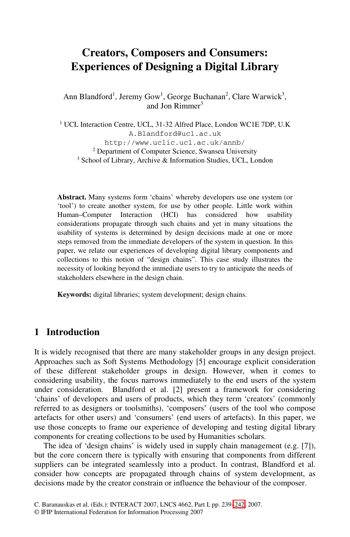# **Creators, Composers and Consumers: Experiences of Designing a Digital Library**

Ann Blandford<sup>1</sup>, Jeremy Gow<sup>1</sup>, George Buchanan<sup>2</sup>, Clare Warwick<sup>3</sup>, and Jon Rimmer<sup>3</sup>

<sup>1</sup> UCL Interaction Centre, UCL, 31-32 Alfred Place, London WC1E 7DP, U.K. A.Blandford@ucl.ac.uk http://www.uclic.ucl.ac.uk/annb/ <sup>2</sup> Department of Computer Science, Swansea University 3 School of Library, Archive & Information Studies, UCL, London

**Abstract.** Many systems form 'chains' whereby developers use one system (or 'tool') to create another system, for use by other people. Little work within Human–Computer Interaction (HCI) has considered how usability considerations propagate through such chains and yet in many situations the usability of systems is determined by design decisions made at one or more steps removed from the immediate developers of the system in question. In this paper, we relate our experiences of developing digital library components and collections to this notion of "design chains". This case study illustrates the necessity of looking beyond the immediate users to try to anticipate the needs of stakeholders elsewhere in the design chain.

**Keywords:** digital libraries; system development; design chains.

#### **1 Introduction**

It is widely recognised that there are many stakeholder groups in any design project. Approaches such as Soft Systems Methodology [5] encourage explicit consideration of these different stakeholder groups in design. However, when it comes to considering usability, the focus narrows immediately to the end users of the system under consideration. Blandford et al. [2] present a framework for considering 'chains' of developers and users of products, which they term 'creators' (commonly referred to as designers or toolsmiths), 'composers' (users of the tool who compose artefacts for other users) and 'consumers' (end users of artefacts). In this paper, we use those concepts to frame our experience of developing and testing digital library components for creating collections to be used by Humanities scholars.

The idea of 'design chains' is widely used in supply chain management (e.g. [7]), but the core concern there is typically with ensuring that components from different suppliers can be integrated seamlessly into a product. In contrast, Blandford et al. consider how concepts are propagated through chains of system development, as decisions made by the creator constrain or influence the behaviour of the composer.

C. Baranauskas et al. (Eds.): INTERACT 2007, LNCS 4662, Part I, pp. 239[–242,](#page-3-0) 2007.

<sup>©</sup> IFIP International Federation for Information Processing 2007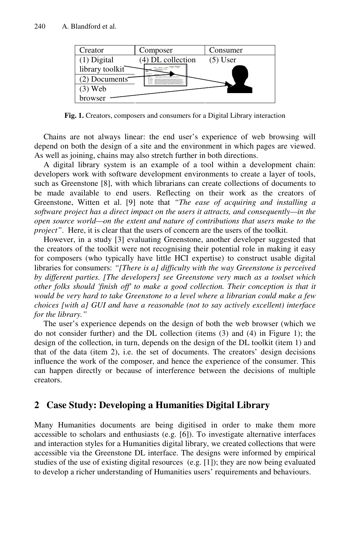

**Fig. 1.** Creators, composers and consumers for a Digital Library interaction

Chains are not always linear: the end user's experience of web browsing will depend on both the design of a site and the environment in which pages are viewed. As well as joining, chains may also stretch further in both directions.

A digital library system is an example of a tool within a development chain: developers work with software development environments to create a layer of tools, such as Greenstone [8], with which librarians can create collections of documents to be made available to end users. Reflecting on their work as the creators of Greenstone, Witten et al. [9] note that *"The ease of acquiring and installing a software project has a direct impact on the users it attracts, and consequently—in the open source world—on the extent and nature of contributions that users make to the project"*. Here, it is clear that the users of concern are the users of the toolkit.

However, in a study [3] evaluating Greenstone, another developer suggested that the creators of the toolkit were not recognising their potential role in making it easy for composers (who typically have little HCI expertise) to construct usable digital libraries for consumers: *"[There is a] difficulty with the way Greenstone is perceived by different parties. [The developers] see Greenstone very much as a toolset which other folks should 'finish off' to make a good collection. Their conception is that it would be very hard to take Greenstone to a level where a librarian could make a few choices [with a] GUI and have a reasonable (not to say actively excellent) interface for the library."*

The user's experience depends on the design of both the web browser (which we do not consider further) and the DL collection (items (3) and (4) in Figure 1); the design of the collection, in turn, depends on the design of the DL toolkit (item 1) and that of the data (item 2), i.e. the set of documents. The creators' design decisions influence the work of the composer, and hence the experience of the consumer. This can happen directly or because of interference between the decisions of multiple creators.

#### **2 Case Study: Developing a Humanities Digital Library**

Many Humanities documents are being digitised in order to make them more accessible to scholars and enthusiasts (e.g. [6]). To investigate alternative interfaces and interaction styles for a Humanities digital library, we created collections that were accessible via the Greenstone DL interface. The designs were informed by empirical studies of the use of existing digital resources (e.g. [1]); they are now being evaluated to develop a richer understanding of Humanities users' requirements and behaviours.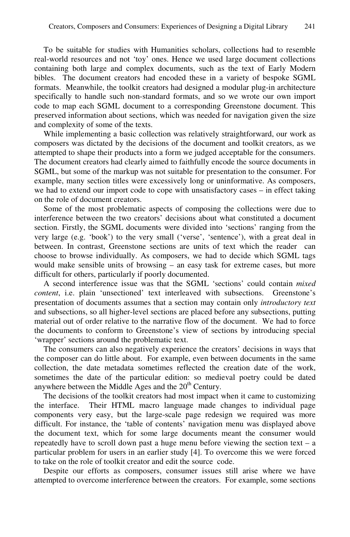To be suitable for studies with Humanities scholars, collections had to resemble real-world resources and not 'toy' ones. Hence we used large document collections containing both large and complex documents, such as the text of Early Modern bibles. The document creators had encoded these in a variety of bespoke SGML formats. Meanwhile, the toolkit creators had designed a modular plug-in architecture specifically to handle such non-standard formats, and so we wrote our own import code to map each SGML document to a corresponding Greenstone document. This preserved information about sections, which was needed for navigation given the size and complexity of some of the texts.

While implementing a basic collection was relatively straightforward, our work as composers was dictated by the decisions of the document and toolkit creators, as we attempted to shape their products into a form we judged acceptable for the consumers. The document creators had clearly aimed to faithfully encode the source documents in SGML, but some of the markup was not suitable for presentation to the consumer. For example, many section titles were excessively long or uninformative. As composers, we had to extend our import code to cope with unsatisfactory cases – in effect taking on the role of document creators.

Some of the most problematic aspects of composing the collections were due to interference between the two creators' decisions about what constituted a document section. Firstly, the SGML documents were divided into 'sections' ranging from the very large (e.g. 'book') to the very small ('verse', 'sentence'), with a great deal in between. In contrast, Greenstone sections are units of text which the reader can choose to browse individually. As composers, we had to decide which SGML tags would make sensible units of browsing – an easy task for extreme cases, but more difficult for others, particularly if poorly documented.

A second interference issue was that the SGML 'sections' could contain *mixed content*, i.e. plain 'unsectioned' text interleaved with subsections. Greenstone's presentation of documents assumes that a section may contain only *introductory text* and subsections, so all higher-level sections are placed before any subsections, putting material out of order relative to the narrative flow of the document. We had to force the documents to conform to Greenstone's view of sections by introducing special 'wrapper' sections around the problematic text.

The consumers can also negatively experience the creators' decisions in ways that the composer can do little about. For example, even between documents in the same collection, the date metadata sometimes reflected the creation date of the work, sometimes the date of the particular edition: so medieval poetry could be dated anywhere between the Middle Ages and the  $20<sup>th</sup>$  Century.

The decisions of the toolkit creators had most impact when it came to customizing the interface. Their HTML macro language made changes to individual page components very easy, but the large-scale page redesign we required was more difficult. For instance, the 'table of contents' navigation menu was displayed above the document text, which for some large documents meant the consumer would repeatedly have to scroll down past a huge menu before viewing the section text – a particular problem for users in an earlier study [4]. To overcome this we were forced to take on the role of toolkit creator and edit the source code.

Despite our efforts as composers, consumer issues still arise where we have attempted to overcome interference between the creators. For example, some sections